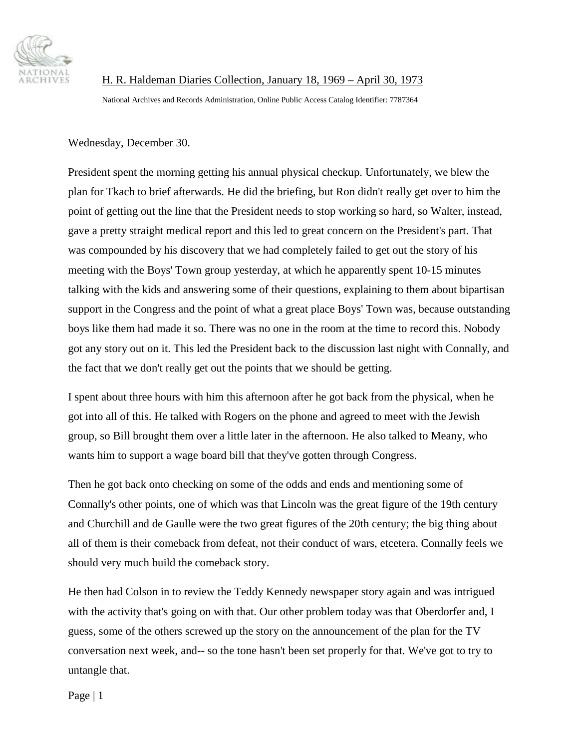

H. R. Haldeman Diaries Collection, January 18, 1969 – April 30, 1973 National Archives and Records Administration, Online Public Access Catalog Identifier: 7787364

Wednesday, December 30.

President spent the morning getting his annual physical checkup. Unfortunately, we blew the plan for Tkach to brief afterwards. He did the briefing, but Ron didn't really get over to him the point of getting out the line that the President needs to stop working so hard, so Walter, instead, gave a pretty straight medical report and this led to great concern on the President's part. That was compounded by his discovery that we had completely failed to get out the story of his meeting with the Boys' Town group yesterday, at which he apparently spent 10-15 minutes talking with the kids and answering some of their questions, explaining to them about bipartisan support in the Congress and the point of what a great place Boys' Town was, because outstanding boys like them had made it so. There was no one in the room at the time to record this. Nobody got any story out on it. This led the President back to the discussion last night with Connally, and the fact that we don't really get out the points that we should be getting.

I spent about three hours with him this afternoon after he got back from the physical, when he got into all of this. He talked with Rogers on the phone and agreed to meet with the Jewish group, so Bill brought them over a little later in the afternoon. He also talked to Meany, who wants him to support a wage board bill that they've gotten through Congress.

Then he got back onto checking on some of the odds and ends and mentioning some of Connally's other points, one of which was that Lincoln was the great figure of the 19th century and Churchill and de Gaulle were the two great figures of the 20th century; the big thing about all of them is their comeback from defeat, not their conduct of wars, etcetera. Connally feels we should very much build the comeback story.

He then had Colson in to review the Teddy Kennedy newspaper story again and was intrigued with the activity that's going on with that. Our other problem today was that Oberdorfer and, I guess, some of the others screwed up the story on the announcement of the plan for the TV conversation next week, and-- so the tone hasn't been set properly for that. We've got to try to untangle that.

Page | 1